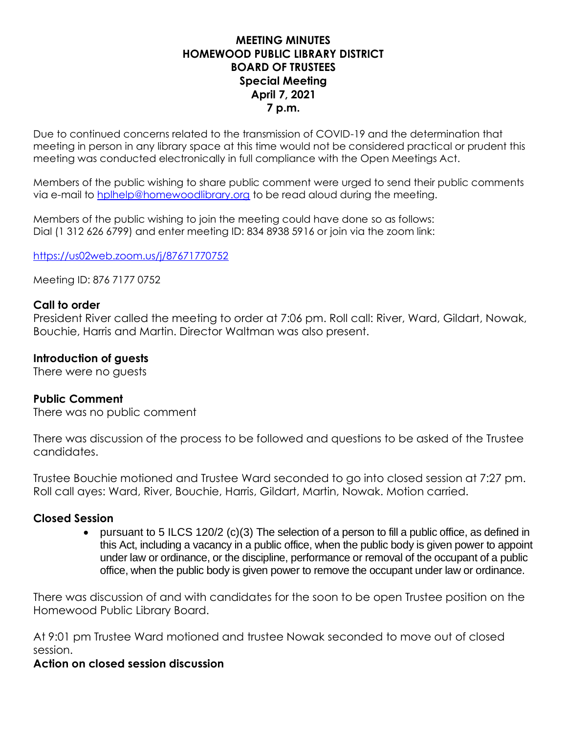## **MEETING MINUTES HOMEWOOD PUBLIC LIBRARY DISTRICT BOARD OF TRUSTEES Special Meeting April 7, 2021 7 p.m.**

Due to continued concerns related to the transmission of COVID-19 and the determination that meeting in person in any library space at this time would not be considered practical or prudent this meeting was conducted electronically in full compliance with the Open Meetings Act.

Members of the public wishing to share public comment were urged to send their public comments via e-mail to [hplhelp@homewoodlibrary.org](mailto:hplhelp@homewoodlibrary.org) to be read aloud during the meeting.

Members of the public wishing to join the meeting could have done so as follows: Dial (1 312 626 6799) and enter meeting ID: 834 8938 5916 or join via the zoom link:

<https://us02web.zoom.us/j/87671770752>

Meeting ID: 876 7177 0752

### **Call to order**

President River called the meeting to order at 7:06 pm. Roll call: River, Ward, Gildart, Nowak, Bouchie, Harris and Martin. Director Waltman was also present.

### **Introduction of guests**

There were no guests

### **Public Comment**

There was no public comment

There was discussion of the process to be followed and questions to be asked of the Trustee candidates.

Trustee Bouchie motioned and Trustee Ward seconded to go into closed session at 7:27 pm. Roll call ayes: Ward, River, Bouchie, Harris, Gildart, Martin, Nowak. Motion carried.

### **Closed Session**

• pursuant to 5 ILCS 120/2 (c)(3) The selection of a person to fill a public office, as defined in this Act, including a vacancy in a public office, when the public body is given power to appoint under law or ordinance, or the discipline, performance or removal of the occupant of a public office, when the public body is given power to remove the occupant under law or ordinance.

There was discussion of and with candidates for the soon to be open Trustee position on the Homewood Public Library Board.

At 9:01 pm Trustee Ward motioned and trustee Nowak seconded to move out of closed session.

### **Action on closed session discussion**